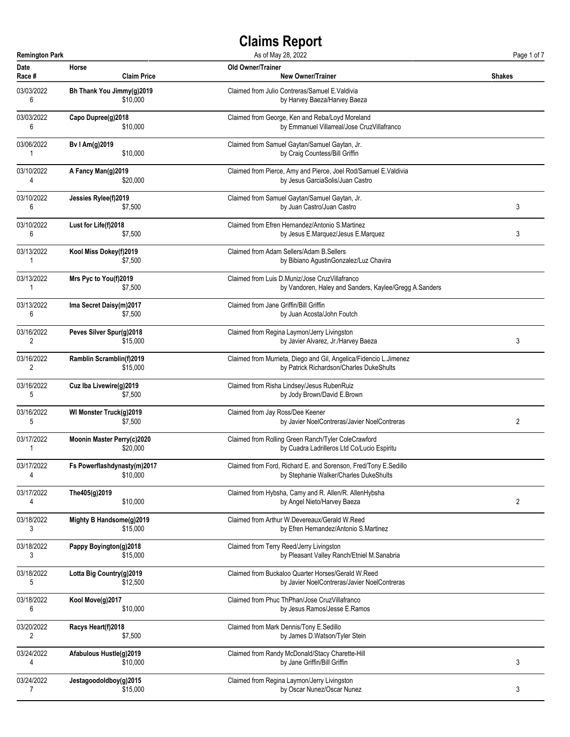| <b>Remington Park</b> |                             | As of May 28, 2022                                                | Page 1 of 7 |
|-----------------------|-----------------------------|-------------------------------------------------------------------|-------------|
| <b>Date</b>           | Horse                       | <b>Old Owner/Trainer</b>                                          | Shakes      |
| Race #                | <b>Claim Price</b>          | <b>New Owner/Trainer</b>                                          |             |
| 03/03/2022            | Bh Thank You Jimmy(g)2019   | Claimed from Julio Contreras/Samuel E. Valdivia                   |             |
| 6                     | \$10,000                    | by Harvey Baeza/Harvey Baeza                                      |             |
| 03/03/2022            | Capo Dupree(g)2018          | Claimed from George, Ken and Reba/Loyd Moreland                   |             |
| 6                     | \$10,000                    | by Emmanuel Villarreal/Jose CruzVillafranco                       |             |
| 03/06/2022            | Bv I Am(g)2019              | Claimed from Samuel Gaytan/Samuel Gaytan, Jr.                     |             |
| 1                     | \$10,000                    | by Craig Countess/Bill Griffin                                    |             |
| 03/10/2022            | A Fancy Man(g)2019          | Claimed from Pierce, Amy and Pierce, Joel Rod/Samuel E.Valdivia   |             |
| 4                     | \$20,000                    | by Jesus GarciaSolis/Juan Castro                                  |             |
| 03/10/2022            | Jessies Rylee(f)2019        | Claimed from Samuel Gaytan/Samuel Gaytan, Jr.                     | 3           |
| 6                     | \$7,500                     | by Juan Castro/Juan Castro                                        |             |
| 03/10/2022            | Lust for Life(f)2018        | Claimed from Efren Hernandez/Antonio S.Martinez                   | 3           |
| 6                     | \$7,500                     | by Jesus E.Marquez/Jesus E.Marquez                                |             |
| 03/13/2022            | Kool Miss Dokey(f)2019      | Claimed from Adam Sellers/Adam B. Sellers                         |             |
| 1                     | \$7,500                     | by Bibiano AgustinGonzalez/Luz Chavira                            |             |
| 03/13/2022            | Mrs Pyc to You(f)2019       | Claimed from Luis D.Muniz/Jose CruzVillafranco                    |             |
| 1                     | \$7,500                     | by Vandoren, Haley and Sanders, Kaylee/Gregg A.Sanders            |             |
| 03/13/2022            | Ima Secret Daisy(m)2017     | Claimed from Jane Griffin/Bill Griffin                            |             |
| 6                     | \$7,500                     | by Juan Acosta/John Foutch                                        |             |
| 03/16/2022            | Peves Silver Spur(g)2018    | Claimed from Regina Laymon/Jerry Livingston                       | 3           |
| 2                     | \$15,000                    | by Javier Alvarez, Jr./Harvey Baeza                               |             |
| 03/16/2022            | Ramblin Scramblin(f)2019    | Claimed from Murrieta, Diego and Gil, Angelica/Fidencio L.Jimenez |             |
| 2                     | \$15,000                    | by Patrick Richardson/Charles DukeShults                          |             |
| 03/16/2022            | Cuz Iba Livewire(g)2019     | Claimed from Risha Lindsey/Jesus RubenRuiz                        |             |
| 5                     | \$7,500                     | by Jody Brown/David E.Brown                                       |             |
| 03/16/2022            | WI Monster Truck(g)2019     | Claimed from Jay Ross/Dee Keener                                  | 2           |
| 5                     | \$7,500                     | by Javier NoelContreras/Javier NoelContreras                      |             |
| 03/17/2022            | Moonin Master Perry(c)2020  | Claimed from Rolling Green Ranch/Tyler ColeCrawford               |             |
| 1                     | \$20,000                    | by Cuadra Ladrilleros Ltd Co/Lucio Espiritu                       |             |
| 03/17/2022            | Fs Powerflashdynasty(m)2017 | Claimed from Ford, Richard E. and Sorenson, Fred/Tony E.Sedillo   |             |
| 4                     | \$10,000                    | by Stephanie Walker/Charles DukeShults                            |             |
| 03/17/2022            | The405(g)2019               | Claimed from Hybsha, Camy and R. Allen/R. AllenHybsha             | 2           |
| 4                     | \$10,000                    | by Angel Nieto/Harvey Baeza                                       |             |
| 03/18/2022            | Mighty B Handsome(g)2019    | Claimed from Arthur W.Devereaux/Gerald W.Reed                     |             |
| 3                     | \$15,000                    | by Efren Hernandez/Antonio S.Martinez                             |             |
| 03/18/2022            | Pappy Boyington(g)2018      | Claimed from Terry Reed/Jerry Livingston                          |             |
| 3                     | \$15,000                    | by Pleasant Valley Ranch/Etniel M.Sanabria                        |             |
| 03/18/2022            | Lotta Big Country(g)2019    | Claimed from Buckaloo Quarter Horses/Gerald W.Reed                |             |
| 5                     | \$12,500                    | by Javier NoelContreras/Javier NoelContreras                      |             |
| 03/18/2022            | Kool Move(g)2017            | Claimed from Phuc ThPhan/Jose CruzVillafranco                     |             |
| 6                     | \$10,000                    | by Jesus Ramos/Jesse E.Ramos                                      |             |
| 03/20/2022            | Racys Heart(f)2018          | Claimed from Mark Dennis/Tony E.Sedillo                           |             |
| 2                     | \$7,500                     | by James D.Watson/Tyler Stein                                     |             |
| 03/24/2022            | Afabulous Hustle(g)2019     | Claimed from Randy McDonald/Stacy Charette-Hill                   | 3           |
| 4                     | \$10,000                    | by Jane Griffin/Bill Griffin                                      |             |
| 03/24/2022            | Jestagoodoldboy(g)2015      | Claimed from Regina Laymon/Jerry Livingston                       | 3           |
| 7                     | \$15,000                    | by Oscar Nunez/Oscar Nunez                                        |             |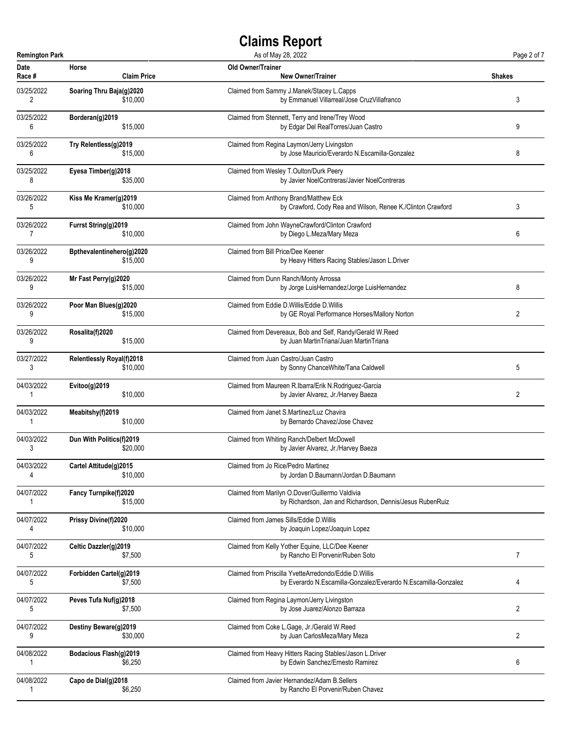| <b>Remington Park</b> |                                  | As of May 28, 2022                                             | Page 2 of 7    |
|-----------------------|----------------------------------|----------------------------------------------------------------|----------------|
| <b>Date</b>           | Horse                            | Old Owner/Trainer                                              | <b>Shakes</b>  |
| Race #                | <b>Claim Price</b>               | <b>New Owner/Trainer</b>                                       |                |
| 03/25/2022            | Soaring Thru Baja(g)2020         | Claimed from Sammy J.Manek/Stacey L.Capps                      | 3              |
| 2                     | \$10,000                         | by Emmanuel Villarreal/Jose CruzVillafranco                    |                |
| 03/25/2022            | Borderan(g)2019                  | Claimed from Stennett, Terry and Irene/Trey Wood               | 9              |
| 6                     | \$15,000                         | by Edgar Del RealTorres/Juan Castro                            |                |
| 03/25/2022            | Try Relentless(g)2019            | Claimed from Regina Laymon/Jerry Livingston                    | 8              |
| 6                     | \$15,000                         | by Jose Mauricio/Everardo N.Escamilla-Gonzalez                 |                |
| 03/25/2022            | Eyesa Timber(g)2018              | Claimed from Wesley T.Oulton/Durk Peery                        |                |
| 8                     | \$35,000                         | by Javier NoelContreras/Javier NoelContreras                   |                |
| 03/26/2022            | Kiss Me Kramer(g)2019            | Claimed from Anthony Brand/Matthew Eck                         | 3              |
| 5                     | \$10,000                         | by Crawford, Cody Rea and Wilson, Renee K./Clinton Crawford    |                |
| 03/26/2022            | Furrst String(g)2019             | Claimed from John WayneCrawford/Clinton Crawford               | 6              |
| $\overline{7}$        | \$10,000                         | by Diego L.Meza/Mary Meza                                      |                |
| 03/26/2022            | Bpthevalentinehero(g)2020        | Claimed from Bill Price/Dee Keener                             |                |
| 9                     | \$15,000                         | by Heavy Hitters Racing Stables/Jason L.Driver                 |                |
| 03/26/2022            | Mr Fast Perry(g)2020             | Claimed from Dunn Ranch/Monty Arrossa                          | 8              |
| 9                     | \$15,000                         | by Jorge LuisHernandez/Jorge LuisHernandez                     |                |
| 03/26/2022            | Poor Man Blues(g)2020            | Claimed from Eddie D.Willis/Eddie D.Willis                     | $\overline{2}$ |
| 9                     | \$15,000                         | by GE Royal Performance Horses/Mallory Norton                  |                |
| 03/26/2022            | Rosalita(f)2020                  | Claimed from Devereaux, Bob and Self, Randy/Gerald W.Reed      |                |
| 9                     | \$15,000                         | by Juan MartinTriana/Juan MartinTriana                         |                |
| 03/27/2022            | <b>Relentlessly Royal(f)2018</b> | Claimed from Juan Castro/Juan Castro                           | 5              |
| 3                     | \$10,000                         | by Sonny ChanceWhite/Tana Caldwell                             |                |
| 04/03/2022            | Evitoo(g)2019                    | Claimed from Maureen R.Ibarra/Erik N.Rodriguez-Garcia          | 2              |
| 1                     | \$10,000                         | by Javier Alvarez, Jr./Harvey Baeza                            |                |
| 04/03/2022            | Meabitshy(f)2019                 | Claimed from Janet S.Martinez/Luz Chavira                      |                |
| 1                     | \$10,000                         | by Bernardo Chavez/Jose Chavez                                 |                |
| 04/03/2022            | Dun With Politics(f)2019         | Claimed from Whiting Ranch/Delbert McDowell                    |                |
| 3                     | \$20,000                         | by Javier Alvarez, Jr./Harvey Baeza                            |                |
| 04/03/2022            | Cartel Attitude(g)2015           | Claimed from Jo Rice/Pedro Martinez                            |                |
| 4                     | \$10,000                         | by Jordan D.Baumann/Jordan D.Baumann                           |                |
| 04/07/2022            | <b>Fancy Turnpike(f)2020</b>     | Claimed from Marilyn O.Dover/Guillermo Valdivia                |                |
| 1                     | \$15,000                         | by Richardson, Jan and Richardson, Dennis/Jesus RubenRuiz      |                |
| 04/07/2022            | Prissy Divine(f)2020             | Claimed from James Sills/Eddie D. Willis                       |                |
| 4                     | \$10,000                         | by Joaquin Lopez/Joaquin Lopez                                 |                |
| 04/07/2022            | Celtic Dazzler(g)2019            | Claimed from Kelly Yother Equine, LLC/Dee Keener               | $\overline{7}$ |
| 5                     | \$7,500                          | by Rancho El Porvenir/Ruben Soto                               |                |
| 04/07/2022            | Forbidden Cartel(g)2019          | Claimed from Priscilla YvetteArredondo/Eddie D. Willis         | 4              |
| 5                     | \$7,500                          | by Everardo N.Escamilla-Gonzalez/Everardo N.Escamilla-Gonzalez |                |
| 04/07/2022            | Peves Tufa Nuf(g)2018            | Claimed from Regina Laymon/Jerry Livingston                    | 2              |
| 5                     | \$7,500                          | by Jose Juarez/Alonzo Barraza                                  |                |
| 04/07/2022            | Destiny Beware(g)2019            | Claimed from Coke L.Gage, Jr./Gerald W.Reed                    | 2              |
| 9                     | \$30,000                         | by Juan CarlosMeza/Mary Meza                                   |                |
| 04/08/2022            | <b>Bodacious Flash(g)2019</b>    | Claimed from Heavy Hitters Racing Stables/Jason L.Driver       | 6              |
| 1                     | \$6,250                          | by Edwin Sanchez/Ernesto Ramirez                               |                |
| 04/08/2022            | Capo de Dial(g)2018              | Claimed from Javier Hernandez/Adam B. Sellers                  |                |
| 1                     | \$6,250                          | by Rancho El Porvenir/Ruben Chavez                             |                |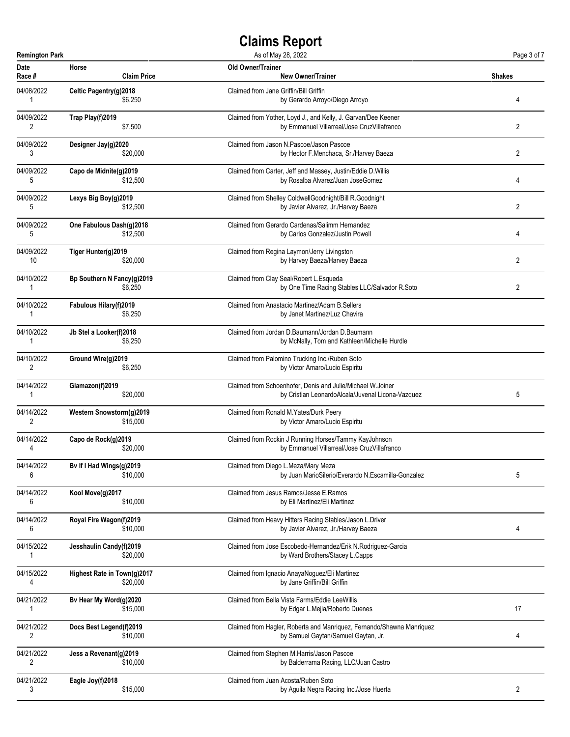| <b>Remington Park</b> |                                     | As of May 28, 2022                                                                              | Page 3 of 7    |
|-----------------------|-------------------------------------|-------------------------------------------------------------------------------------------------|----------------|
| Date                  | Horse                               | Old Owner/Trainer                                                                               | <b>Shakes</b>  |
| Race #                | <b>Claim Price</b>                  | <b>New Owner/Trainer</b>                                                                        |                |
| 04/08/2022            | Celtic Pagentry(g)2018              | Claimed from Jane Griffin/Bill Griffin                                                          | 4              |
| 1                     | \$6,250                             | by Gerardo Arroyo/Diego Arroyo                                                                  |                |
| 04/09/2022            | Trap Play(f)2019                    | Claimed from Yother, Loyd J., and Kelly, J. Garvan/Dee Keener                                   | 2              |
| 2                     | \$7,500                             | by Emmanuel Villarreal/Jose CruzVillafranco                                                     |                |
| 04/09/2022            | Designer Jay(g)2020                 | Claimed from Jason N.Pascoe/Jason Pascoe                                                        | 2              |
| 3                     | \$20,000                            | by Hector F.Menchaca, Sr./Harvey Baeza                                                          |                |
| 04/09/2022            | Capo de Midnite(g)2019              | Claimed from Carter, Jeff and Massey, Justin/Eddie D.Willis                                     | 4              |
| 5                     | \$12,500                            | by Rosalba Alvarez/Juan JoseGomez                                                               |                |
| 04/09/2022            | Lexys Big Boy(g)2019                | Claimed from Shelley ColdwellGoodnight/Bill R.Goodnight                                         | $\overline{2}$ |
| 5                     | \$12,500                            | by Javier Alvarez, Jr./Harvey Baeza                                                             |                |
| 04/09/2022            | One Fabulous Dash(g)2018            | Claimed from Gerardo Cardenas/Salimm Hernandez                                                  | 4              |
| 5                     | \$12,500                            | by Carlos Gonzalez/Justin Powell                                                                |                |
| 04/09/2022            | Tiger Hunter(g)2019                 | Claimed from Regina Laymon/Jerry Livingston                                                     | $\overline{2}$ |
| 10                    | \$20,000                            | by Harvey Baeza/Harvey Baeza                                                                    |                |
| 04/10/2022            | Bp Southern N Fancy(g)2019          | Claimed from Clay Seal/Robert L.Esqueda                                                         | 2              |
| 1                     | \$6,250                             | by One Time Racing Stables LLC/Salvador R.Soto                                                  |                |
| 04/10/2022            | Fabulous Hilary(f)2019              | Claimed from Anastacio Martinez/Adam B. Sellers                                                 |                |
| 1                     | \$6,250                             | by Janet Martinez/Luz Chavira                                                                   |                |
| 04/10/2022            | Jb Stel a Looker(f)2018             | Claimed from Jordan D.Baumann/Jordan D.Baumann                                                  |                |
| 1                     | \$6,250                             | by McNally, Tom and Kathleen/Michelle Hurdle                                                    |                |
| 04/10/2022            | Ground Wire(g)2019                  | Claimed from Palomino Trucking Inc./Ruben Soto                                                  |                |
| 2                     | \$6,250                             | by Victor Amaro/Lucio Espiritu                                                                  |                |
| 04/14/2022            | Glamazon(f)2019                     | Claimed from Schoenhofer, Denis and Julie/Michael W.Joiner                                      | 5              |
| 1                     | \$20,000                            | by Cristian LeonardoAlcala/Juvenal Licona-Vazquez                                               |                |
| 04/14/2022            | Western Snowstorm(g)2019            | Claimed from Ronald M.Yates/Durk Peery                                                          |                |
| 2                     | \$15,000                            | by Victor Amaro/Lucio Espiritu                                                                  |                |
| 04/14/2022            | Capo de Rock(g)2019                 | Claimed from Rockin J Running Horses/Tammy KayJohnson                                           |                |
| 4                     | \$20,000                            | by Emmanuel Villarreal/Jose CruzVillafranco                                                     |                |
| 04/14/2022            | Bv If I Had Wings(g)2019            | Claimed from Diego L.Meza/Mary Meza                                                             | 5              |
| 6                     | \$10,000                            | by Juan MarioSilerio/Everardo N.Escamilla-Gonzalez                                              |                |
| 04/14/2022            | Kool Move(g)2017                    | Claimed from Jesus Ramos/Jesse E.Ramos                                                          |                |
| 6                     | \$10,000                            | by Eli Martinez/Eli Martinez                                                                    |                |
| 04/14/2022            | Royal Fire Wagon(f)2019             | Claimed from Heavy Hitters Racing Stables/Jason L.Driver                                        | 4              |
| 6                     | \$10,000                            | by Javier Alvarez, Jr./Harvey Baeza                                                             |                |
| 04/15/2022            | Jesshaulin Candy(f)2019<br>\$20,000 | Claimed from Jose Escobedo-Hernandez/Erik N.Rodriguez-Garcia<br>by Ward Brothers/Stacey L.Capps |                |
| 04/15/2022            | Highest Rate in Town(g)2017         | Claimed from Ignacio AnayaNoguez/Eli Martinez                                                   |                |
| 4                     | \$20,000                            | by Jane Griffin/Bill Griffin                                                                    |                |
| 04/21/2022            | Bv Hear My Word(g)2020              | Claimed from Bella Vista Farms/Eddie LeeWillis                                                  | 17             |
| 1                     | \$15,000                            | by Edgar L.Mejia/Roberto Duenes                                                                 |                |
| 04/21/2022            | Docs Best Legend(f)2019             | Claimed from Hagler, Roberta and Manriquez, Fernando/Shawna Manriquez                           | 4              |
| 2                     | \$10,000                            | by Samuel Gaytan/Samuel Gaytan, Jr.                                                             |                |
| 04/21/2022            | Jess a Revenant(g)2019              | Claimed from Stephen M.Harris/Jason Pascoe                                                      |                |
| 2                     | \$10,000                            | by Balderrama Racing, LLC/Juan Castro                                                           |                |
| 04/21/2022            | Eagle Joy(f)2018                    | Claimed from Juan Acosta/Ruben Soto                                                             | 2              |
| 3                     | \$15,000                            | by Aguila Negra Racing Inc./Jose Huerta                                                         |                |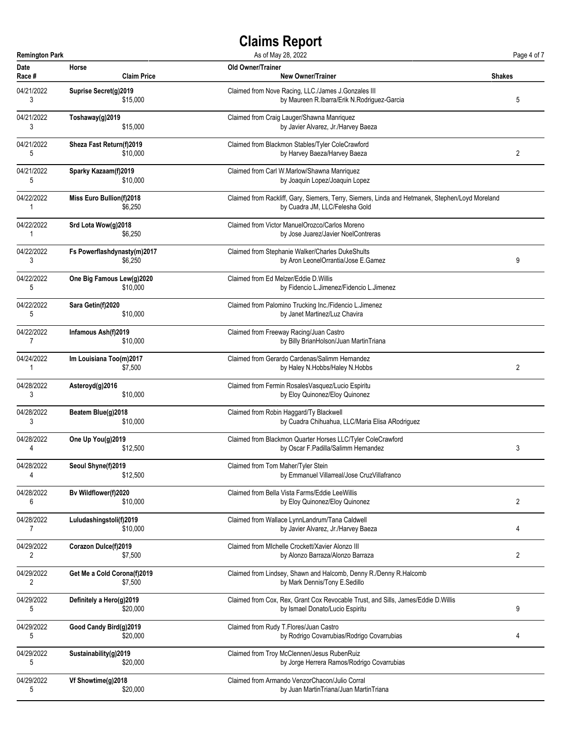| <b>Remington Park</b> |                             | As of May 28, 2022                                                                              | Page 4 of 7 |
|-----------------------|-----------------------------|-------------------------------------------------------------------------------------------------|-------------|
| <b>Date</b>           | Horse                       | <b>Old Owner/Trainer</b>                                                                        | Shakes      |
| Race #                | <b>Claim Price</b>          | <b>New Owner/Trainer</b>                                                                        |             |
| 04/21/2022            | Suprise Secret(g)2019       | Claimed from Nove Racing, LLC./James J.Gonzales III                                             | 5           |
| 3                     | \$15,000                    | by Maureen R.Ibarra/Erik N.Rodriguez-Garcia                                                     |             |
| 04/21/2022            | Toshaway(g)2019             | Claimed from Craig Lauger/Shawna Manriquez                                                      |             |
| 3                     | \$15,000                    | by Javier Alvarez, Jr./Harvey Baeza                                                             |             |
| 04/21/2022            | Sheza Fast Return(f)2019    | Claimed from Blackmon Stables/Tyler ColeCrawford                                                | 2           |
| 5                     | \$10,000                    | by Harvey Baeza/Harvey Baeza                                                                    |             |
| 04/21/2022            | Sparky Kazaam(f)2019        | Claimed from Carl W.Marlow/Shawna Manriquez                                                     |             |
| 5                     | \$10,000                    | by Joaquin Lopez/Joaquin Lopez                                                                  |             |
| 04/22/2022            | Miss Euro Bullion(f)2018    | Claimed from Rackliff, Gary, Siemers, Terry, Siemers, Linda and Hetmanek, Stephen/Loyd Moreland |             |
| 1                     | \$6,250                     | by Cuadra JM, LLC/Felesha Gold                                                                  |             |
| 04/22/2022            | Srd Lota Wow(g)2018         | Claimed from Victor ManuelOrozco/Carlos Moreno                                                  |             |
| 1                     | \$6,250                     | by Jose Juarez/Javier NoelContreras                                                             |             |
| 04/22/2022            | Fs Powerflashdynasty(m)2017 | Claimed from Stephanie Walker/Charles DukeShults                                                | 9           |
| 3                     | \$6,250                     | by Aron LeonelOrrantia/Jose E.Gamez                                                             |             |
| 04/22/2022            | One Big Famous Lew(g)2020   | Claimed from Ed Melzer/Eddie D. Willis                                                          |             |
| 5                     | \$10,000                    | by Fidencio L.Jimenez/Fidencio L.Jimenez                                                        |             |
| 04/22/2022            | Sara Getin(f)2020           | Claimed from Palomino Trucking Inc./Fidencio L.Jimenez                                          |             |
| 5                     | \$10,000                    | by Janet Martinez/Luz Chavira                                                                   |             |
| 04/22/2022            | Infamous Ash(f)2019         | Claimed from Freeway Racing/Juan Castro                                                         |             |
| 7                     | \$10,000                    | by Billy BrianHolson/Juan MartinTriana                                                          |             |
| 04/24/2022            | Im Louisiana Too(m)2017     | Claimed from Gerardo Cardenas/Salimm Hernandez                                                  | 2           |
| 1                     | \$7,500                     | by Haley N.Hobbs/Haley N.Hobbs                                                                  |             |
| 04/28/2022            | Asteroyd(g)2016             | Claimed from Fermin RosalesVasquez/Lucio Espiritu                                               |             |
| 3                     | \$10,000                    | by Eloy Quinonez/Eloy Quinonez                                                                  |             |
| 04/28/2022            | Beatem Blue(g)2018          | Claimed from Robin Haggard/Ty Blackwell                                                         |             |
| 3                     | \$10,000                    | by Cuadra Chihuahua, LLC/Maria Elisa ARodriguez                                                 |             |
| 04/28/2022            | One Up You(g)2019           | Claimed from Blackmon Quarter Horses LLC/Tyler ColeCrawford                                     | 3           |
| 4                     | \$12,500                    | by Oscar F.Padilla/Salimm Hernandez                                                             |             |
| 04/28/2022            | Seoul Shyne(f)2019          | Claimed from Tom Maher/Tyler Stein                                                              |             |
| 4                     | \$12,500                    | by Emmanuel Villarreal/Jose CruzVillafranco                                                     |             |
| 04/28/2022            | Bv Wildflower(f)2020        | Claimed from Bella Vista Farms/Eddie LeeWillis                                                  | 2           |
| 6                     | \$10,000                    | by Eloy Quinonez/Eloy Quinonez                                                                  |             |
| 04/28/2022            | Luludashingstoli(f)2019     | Claimed from Wallace LynnLandrum/Tana Caldwell                                                  | 4           |
| $\overline{7}$        | \$10,000                    | by Javier Alvarez, Jr./Harvey Baeza                                                             |             |
| 04/29/2022            | Corazon Dulce(f)2019        | Claimed from Michelle Crockett/Xavier Alonzo III                                                | 2           |
| 2                     | \$7,500                     | by Alonzo Barraza/Alonzo Barraza                                                                |             |
| 04/29/2022            | Get Me a Cold Corona(f)2019 | Claimed from Lindsey, Shawn and Halcomb, Denny R./Denny R.Halcomb                               |             |
| 2                     | \$7,500                     | by Mark Dennis/Tony E.Sedillo                                                                   |             |
| 04/29/2022            | Definitely a Hero(g)2019    | Claimed from Cox, Rex, Grant Cox Revocable Trust, and Sills, James/Eddie D.Willis               | 9           |
| 5                     | \$20,000                    | by Ismael Donato/Lucio Espiritu                                                                 |             |
| 04/29/2022            | Good Candy Bird(g)2019      | Claimed from Rudy T.Flores/Juan Castro                                                          | 4           |
| 5                     | \$20,000                    | by Rodrigo Covarrubias/Rodrigo Covarrubias                                                      |             |
| 04/29/2022            | Sustainability(g)2019       | Claimed from Troy McClennen/Jesus RubenRuiz                                                     |             |
| 5                     | \$20,000                    | by Jorge Herrera Ramos/Rodrigo Covarrubias                                                      |             |
| 04/29/2022            | Vf Showtime(g)2018          | Claimed from Armando VenzorChacon/Julio Corral                                                  |             |
| 5                     | \$20,000                    | by Juan MartinTriana/Juan MartinTriana                                                          |             |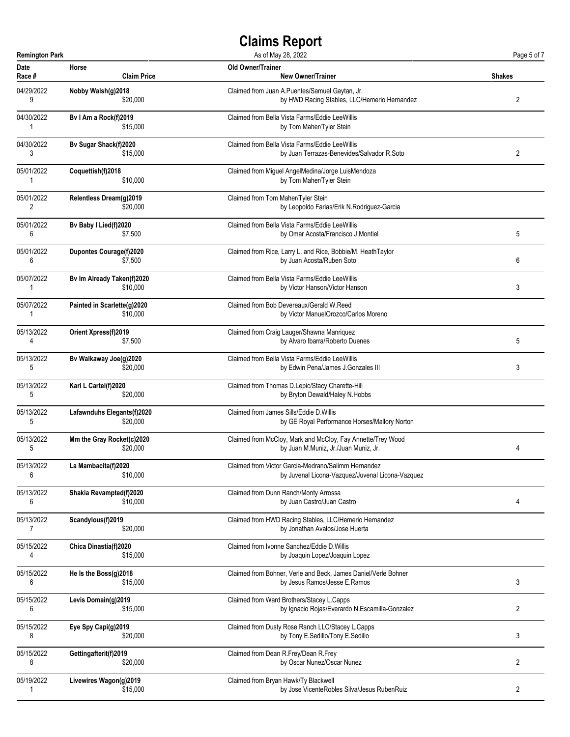| <b>Remington Park</b> |                             | As of May 28, 2022                                             | Page 5 of 7   |
|-----------------------|-----------------------------|----------------------------------------------------------------|---------------|
| Date                  | Horse                       | Old Owner/Trainer                                              | <b>Shakes</b> |
| Race #                | <b>Claim Price</b>          | <b>New Owner/Trainer</b>                                       |               |
| 04/29/2022            | Nobby Walsh(g)2018          | Claimed from Juan A.Puentes/Samuel Gaytan, Jr.                 | 2             |
| 9                     | \$20,000                    | by HWD Racing Stables, LLC/Hemerio Hernandez                   |               |
| 04/30/2022            | Bv I Am a Rock(f)2019       | Claimed from Bella Vista Farms/Eddie LeeWillis                 |               |
| 1                     | \$15,000                    | by Tom Maher/Tyler Stein                                       |               |
| 04/30/2022            | Bv Sugar Shack(f)2020       | Claimed from Bella Vista Farms/Eddie LeeWillis                 | 2             |
| 3                     | \$15,000                    | by Juan Terrazas-Benevides/Salvador R.Soto                     |               |
| 05/01/2022            | Coquettish(f)2018           | Claimed from Miguel AngelMedina/Jorge LuisMendoza              |               |
| 1                     | \$10,000                    | by Tom Maher/Tyler Stein                                       |               |
| 05/01/2022            | Relentless Dream(g)2019     | Claimed from Tom Maher/Tyler Stein                             |               |
| 2                     | \$20,000                    | by Leopoldo Farias/Erik N.Rodriguez-Garcia                     |               |
| 05/01/2022            | Bv Baby I Lied(f)2020       | Claimed from Bella Vista Farms/Eddie LeeWillis                 | 5             |
| 6                     | \$7,500                     | by Omar Acosta/Francisco J.Montiel                             |               |
| 05/01/2022            | Dupontes Courage(f)2020     | Claimed from Rice, Larry L. and Rice, Bobbie/M. HeathTaylor    | 6             |
| 6                     | \$7.500                     | by Juan Acosta/Ruben Soto                                      |               |
| 05/07/2022            | Bv Im Already Taken(f)2020  | Claimed from Bella Vista Farms/Eddie LeeWillis                 | 3             |
| 1                     | \$10,000                    | by Victor Hanson/Victor Hanson                                 |               |
| 05/07/2022            | Painted in Scarlette(g)2020 | Claimed from Bob Devereaux/Gerald W.Reed                       |               |
| 1                     | \$10,000                    | by Victor ManuelOrozco/Carlos Moreno                           |               |
| 05/13/2022            | Orient Xpress(f)2019        | Claimed from Craig Lauger/Shawna Manriquez                     | 5             |
| 4                     | \$7,500                     | by Alvaro Ibarra/Roberto Duenes                                |               |
| 05/13/2022            | Bv Walkaway Joe(g)2020      | Claimed from Bella Vista Farms/Eddie LeeWillis                 | 3             |
| 5                     | \$20,000                    | by Edwin Pena/James J.Gonzales III                             |               |
| 05/13/2022            | Kari L Cartel(f)2020        | Claimed from Thomas D.Lepic/Stacy Charette-Hill                |               |
| 5                     | \$20,000                    | by Bryton Dewald/Haley N.Hobbs                                 |               |
| 05/13/2022            | Lafawnduhs Elegants(f)2020  | Claimed from James Sills/Eddie D.Willis                        |               |
| 5                     | \$20,000                    | by GE Royal Performance Horses/Mallory Norton                  |               |
| 05/13/2022            | Mm the Gray Rocket(c)2020   | Claimed from McCloy, Mark and McCloy, Fay Annette/Trey Wood    | 4             |
| 5                     | \$20,000                    | by Juan M.Muniz, Jr./Juan Muniz, Jr.                           |               |
| 05/13/2022            | La Mambacita(f)2020         | Claimed from Victor Garcia-Medrano/Salimm Hernandez            |               |
| 6                     | \$10,000                    | by Juvenal Licona-Vazquez/Juvenal Licona-Vazquez               |               |
| 05/13/2022            | Shakia Revampted(f)2020     | Claimed from Dunn Ranch/Monty Arrossa                          | 4             |
| 6                     | \$10,000                    | by Juan Castro/Juan Castro                                     |               |
| 05/13/2022            | Scandylous(f)2019           | Claimed from HWD Racing Stables, LLC/Hemerio Hernandez         |               |
| $\overline{7}$        | \$20,000                    | by Jonathan Avalos/Jose Huerta                                 |               |
| 05/15/2022            | Chica Dinastia(f)2020       | Claimed from Ivonne Sanchez/Eddie D. Willis                    |               |
| 4                     | \$15,000                    | by Joaquin Lopez/Joaquin Lopez                                 |               |
| 05/15/2022            | He Is the Boss(g)2018       | Claimed from Bohner, Verle and Beck, James Daniel/Verle Bohner | 3             |
| 6                     | \$15,000                    | by Jesus Ramos/Jesse E.Ramos                                   |               |
| 05/15/2022            | Levis Domain(g)2019         | Claimed from Ward Brothers/Stacey L.Capps                      | 2             |
| 6                     | \$15,000                    | by Ignacio Rojas/Everardo N.Escamilla-Gonzalez                 |               |
| 05/15/2022            | Eye Spy Capi(g)2019         | Claimed from Dusty Rose Ranch LLC/Stacey L.Capps               | 3             |
| 8                     | \$20,000                    | by Tony E.Sedillo/Tony E.Sedillo                               |               |
| 05/15/2022            | Gettingafterit(f)2019       | Claimed from Dean R.Frey/Dean R.Frey                           | 2             |
| 8                     | \$20,000                    | by Oscar Nunez/Oscar Nunez                                     |               |
| 05/19/2022            | Livewires Wagon(g)2019      | Claimed from Bryan Hawk/Ty Blackwell                           | 2             |
| 1                     | \$15,000                    | by Jose VicenteRobles Silva/Jesus RubenRuiz                    |               |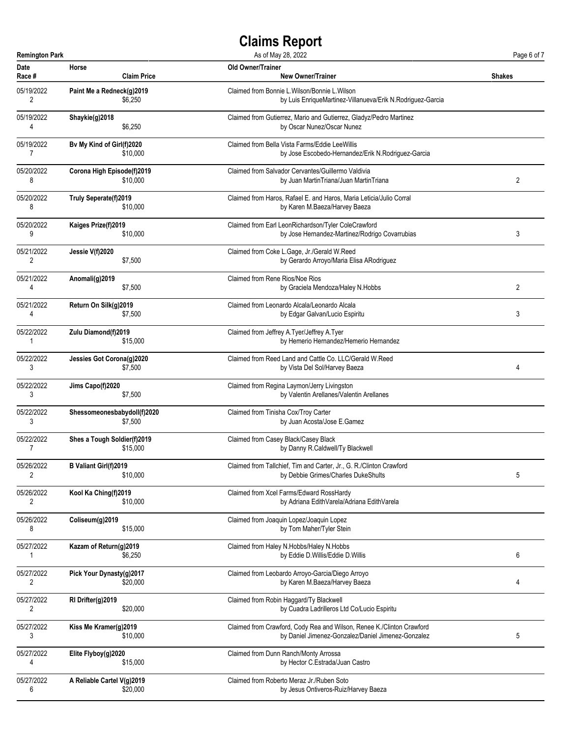| <b>Remington Park</b> |                             | As of May 28, 2022                                                    | Page 6 of 7    |
|-----------------------|-----------------------------|-----------------------------------------------------------------------|----------------|
| Date                  | Horse                       | Old Owner/Trainer                                                     | <b>Shakes</b>  |
| Race #                | <b>Claim Price</b>          | <b>New Owner/Trainer</b>                                              |                |
| 05/19/2022            | Paint Me a Redneck(g)2019   | Claimed from Bonnie L. Wilson/Bonnie L. Wilson                        |                |
| 2                     | \$6,250                     | by Luis EnriqueMartinez-Villanueva/Erik N.Rodriguez-Garcia            |                |
| 05/19/2022            | Shaykie(g)2018              | Claimed from Gutierrez, Mario and Gutierrez, Gladyz/Pedro Martinez    |                |
| 4                     | \$6,250                     | by Oscar Nunez/Oscar Nunez                                            |                |
| 05/19/2022            | Bv My Kind of Girl(f)2020   | Claimed from Bella Vista Farms/Eddie LeeWillis                        |                |
| $\overline{7}$        | \$10,000                    | by Jose Escobedo-Hernandez/Erik N.Rodriguez-Garcia                    |                |
| 05/20/2022            | Corona High Episode(f)2019  | Claimed from Salvador Cervantes/Guillermo Valdivia                    | 2              |
| 8                     | \$10,000                    | by Juan MartinTriana/Juan MartinTriana                                |                |
| 05/20/2022            | Truly Seperate(f)2019       | Claimed from Haros, Rafael E. and Haros, Maria Leticia/Julio Corral   |                |
| 8                     | \$10,000                    | by Karen M.Baeza/Harvey Baeza                                         |                |
| 05/20/2022            | Kaiges Prize(f)2019         | Claimed from Earl LeonRichardson/Tyler ColeCrawford                   | 3              |
| 9                     | \$10,000                    | by Jose Hernandez-Martinez/Rodrigo Covarrubias                        |                |
| 05/21/2022            | Jessie V(f)2020             | Claimed from Coke L.Gage, Jr./Gerald W.Reed                           |                |
| 2                     | \$7,500                     | by Gerardo Arroyo/Maria Elisa ARodriguez                              |                |
| 05/21/2022            | Anomali(g)2019              | Claimed from Rene Rios/Noe Rios                                       | $\overline{2}$ |
| 4                     | \$7,500                     | by Graciela Mendoza/Haley N.Hobbs                                     |                |
| 05/21/2022            | Return On Silk(g)2019       | Claimed from Leonardo Alcala/Leonardo Alcala                          | 3              |
| 4                     | \$7,500                     | by Edgar Galvan/Lucio Espiritu                                        |                |
| 05/22/2022            | Zulu Diamond(f)2019         | Claimed from Jeffrey A. Tyer/Jeffrey A. Tyer                          |                |
| 1                     | \$15,000                    | by Hemerio Hernandez/Hemerio Hernandez                                |                |
| 05/22/2022            | Jessies Got Corona(g)2020   | Claimed from Reed Land and Cattle Co. LLC/Gerald W.Reed               | 4              |
| 3                     | \$7,500                     | by Vista Del Sol/Harvey Baeza                                         |                |
| 05/22/2022            | Jims Capo(f)2020            | Claimed from Regina Laymon/Jerry Livingston                           |                |
| 3                     | \$7,500                     | by Valentin Arellanes/Valentin Arellanes                              |                |
| 05/22/2022            | Shessomeonesbabydoll(f)2020 | Claimed from Tinisha Cox/Troy Carter                                  |                |
| 3                     | \$7,500                     | by Juan Acosta/Jose E.Gamez                                           |                |
| 05/22/2022            | Shes a Tough Soldier(f)2019 | Claimed from Casey Black/Casey Black                                  |                |
| 7                     | \$15,000                    | by Danny R.Caldwell/Ty Blackwell                                      |                |
| 05/26/2022            | B Valiant Girl(f)2019       | Claimed from Tallchief, Tim and Carter, Jr., G. R./Clinton Crawford   | 5              |
| 2                     | \$10,000                    | by Debbie Grimes/Charles DukeShults                                   |                |
| 05/26/2022            | Kool Ka Ching(f)2019        | Claimed from Xcel Farms/Edward RossHardy                              |                |
| 2                     | \$10,000                    | by Adriana EdithVarela/Adriana EdithVarela                            |                |
| 05/26/2022            | Coliseum(g)2019             | Claimed from Joaquin Lopez/Joaquin Lopez                              |                |
| 8                     | \$15,000                    | by Tom Maher/Tyler Stein                                              |                |
| 05/27/2022            | Kazam of Return(g)2019      | Claimed from Haley N.Hobbs/Haley N.Hobbs                              | 6              |
| 1                     | \$6,250                     | by Eddie D.Willis/Eddie D.Willis                                      |                |
| 05/27/2022            | Pick Your Dynasty(g)2017    | Claimed from Leobardo Arroyo-Garcia/Diego Arroyo                      | 4              |
| 2                     | \$20,000                    | by Karen M.Baeza/Harvey Baeza                                         |                |
| 05/27/2022            | RI Drifter(g)2019           | Claimed from Robin Haggard/Ty Blackwell                               |                |
| 2                     | \$20,000                    | by Cuadra Ladrilleros Ltd Co/Lucio Espiritu                           |                |
| 05/27/2022            | Kiss Me Kramer(g)2019       | Claimed from Crawford, Cody Rea and Wilson, Renee K./Clinton Crawford | 5              |
| 3                     | \$10,000                    | by Daniel Jimenez-Gonzalez/Daniel Jimenez-Gonzalez                    |                |
| 05/27/2022            | Elite Flyboy(g)2020         | Claimed from Dunn Ranch/Monty Arrossa                                 |                |
| 4                     | \$15,000                    | by Hector C.Estrada/Juan Castro                                       |                |
| 05/27/2022            | A Reliable Cartel V(g)2019  | Claimed from Roberto Meraz Jr./Ruben Soto                             |                |
| 6                     | \$20,000                    | by Jesus Ontiveros-Ruiz/Harvey Baeza                                  |                |